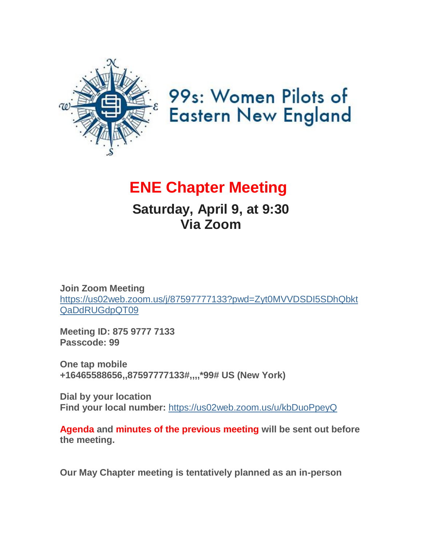

# 99s: Women Pilots of **Eastern New England**

# **ENE Chapter Meeting**

# **Saturday, April 9, at 9:30 Via Zoom**

**Join Zoom Meeting** [https://us02web.zoom.us/j/87597777133?pwd=Zyt0MVVDSDI5SDhQbkt](https://us02web.zoom.us/j/87597777133?pwd=Zyt0MVVDSDI5SDhQbktQaDdRUGdpQT09) [QaDdRUGdpQT09](https://us02web.zoom.us/j/87597777133?pwd=Zyt0MVVDSDI5SDhQbktQaDdRUGdpQT09)

**Meeting ID: 875 9777 7133 Passcode: 99**

**One tap mobile +16465588656,,87597777133#,,,,\*99# US (New York)**

**Dial by your location Find your local number:** <https://us02web.zoom.us/u/kbDuoPpeyQ>

**Agenda and minutes of the previous meeting will be sent out before the meeting.**

**Our May Chapter meeting is tentatively planned as an in-person**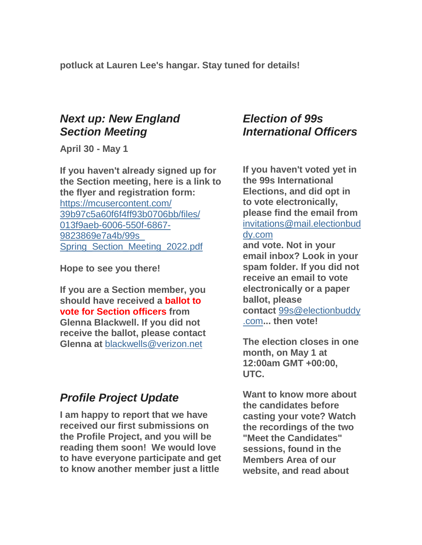**potluck at Lauren Lee's hangar. Stay tuned for details!**

### *Next up: New England Section Meeting*

**April 30 - May 1**

**If you haven't already signed up for the Section meeting, here is a link to the flyer and registration form:** [https://mcusercontent.com/](https://mcusercontent.com/39b97c5a60f6f4ff93b0706bb/files/013f9aeb-6006-550f-6867-9823869e7a4b/99s_Spring_Section_Meeting_2022.pdf) [39b97c5a60f6f4ff93b0706bb/files/](https://mcusercontent.com/39b97c5a60f6f4ff93b0706bb/files/013f9aeb-6006-550f-6867-9823869e7a4b/99s_Spring_Section_Meeting_2022.pdf) [013f9aeb-6006-550f-6867-](https://mcusercontent.com/39b97c5a60f6f4ff93b0706bb/files/013f9aeb-6006-550f-6867-9823869e7a4b/99s_Spring_Section_Meeting_2022.pdf) [9823869e7a4b/99s\\_](https://mcusercontent.com/39b97c5a60f6f4ff93b0706bb/files/013f9aeb-6006-550f-6867-9823869e7a4b/99s_Spring_Section_Meeting_2022.pdf) Spring Section Meeting 2022.pdf

**Hope to see you there!**

**If you are a Section member, you should have received a ballot to vote for Section officers from Glenna Blackwell. If you did not receive the ballot, please contact Glenna at** [blackwells@verizon.net](mailto:blackwells@verizon.net)

## *Profile Project Update*

**I am happy to report that we have received our first submissions on the Profile Project, and you will be reading them soon! We would love to have everyone participate and get to know another member just a little** 

## *Election of 99s International Officers*

**If you haven't voted yet in the 99s International Elections, and did opt in to vote electronically, please find the email from** [invitations@mail.electionbud](mailto:) [dy.com](mailto:)

**and vote. Not in your email inbox? Look in your spam folder. If you did not receive an email to vote electronically or a paper ballot, please contact** [99s@electionbuddy](mailto:) [.com](mailto:)**... then vote!**

**The election closes in one month, on May 1 at 12:00am GMT +00:00, UTC.**

**Want to know more about the candidates before casting your vote? Watch the recordings of the two "Meet the Candidates" sessions, found in the Members Area of our website, and read about**